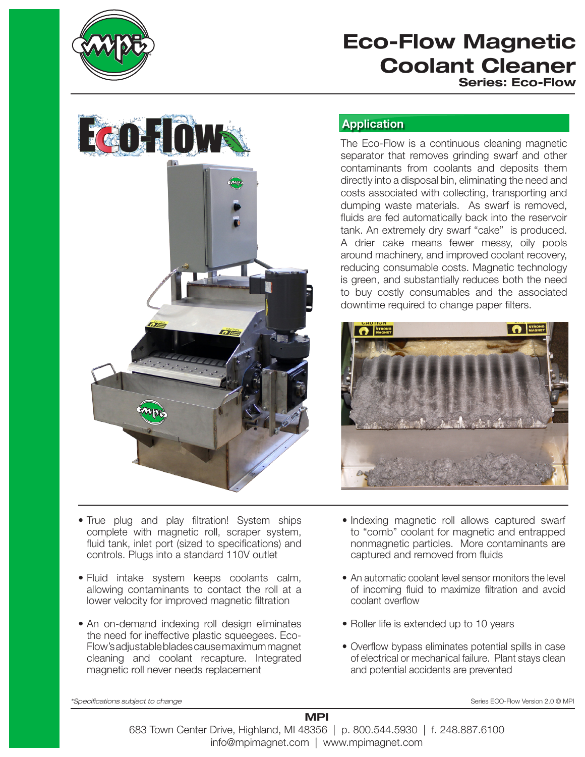

## Eco-Flow Magnetic Coolant Cleaner Series: Eco-Flow



## **Application**

The Eco-Flow is a continuous cleaning magnetic separator that removes grinding swarf and other contaminants from coolants and deposits them directly into a disposal bin, eliminating the need and costs associated with collecting, transporting and dumping waste materials. As swarf is removed, fluids are fed automatically back into the reservoir tank. An extremely dry swarf "cake" is produced. A drier cake means fewer messy, oily pools around machinery, and improved coolant recovery, reducing consumable costs. Magnetic technology is green, and substantially reduces both the need to buy costly consumables and the associated downtime required to change paper filters.



- True plug and play filtration! System ships complete with magnetic roll, scraper system, fluid tank, inlet port (sized to specifications) and controls. Plugs into a standard 110V outlet
- Fluid intake system keeps coolants calm, allowing contaminants to contact the roll at a lower velocity for improved magnetic filtration
- An on-demand indexing roll design eliminates the need for ineffective plastic squeegees. Eco-Flow's adjustable blades cause maximum magnet cleaning and coolant recapture. Integrated magnetic roll never needs replacement
- Indexing magnetic roll allows captured swarf to "comb" coolant for magnetic and entrapped nonmagnetic particles. More contaminants are captured and removed from fluids
- An automatic coolant level sensor monitors the level of incoming fluid to maximize filtration and avoid coolant overflow
- Roller life is extended up to 10 years
- Overflow bypass eliminates potential spills in case of electrical or mechanical failure. Plant stays clean and potential accidents are prevented

*\*Specifications subject to change* Series ECO-Flow Version 2.0 © MPI

MPI